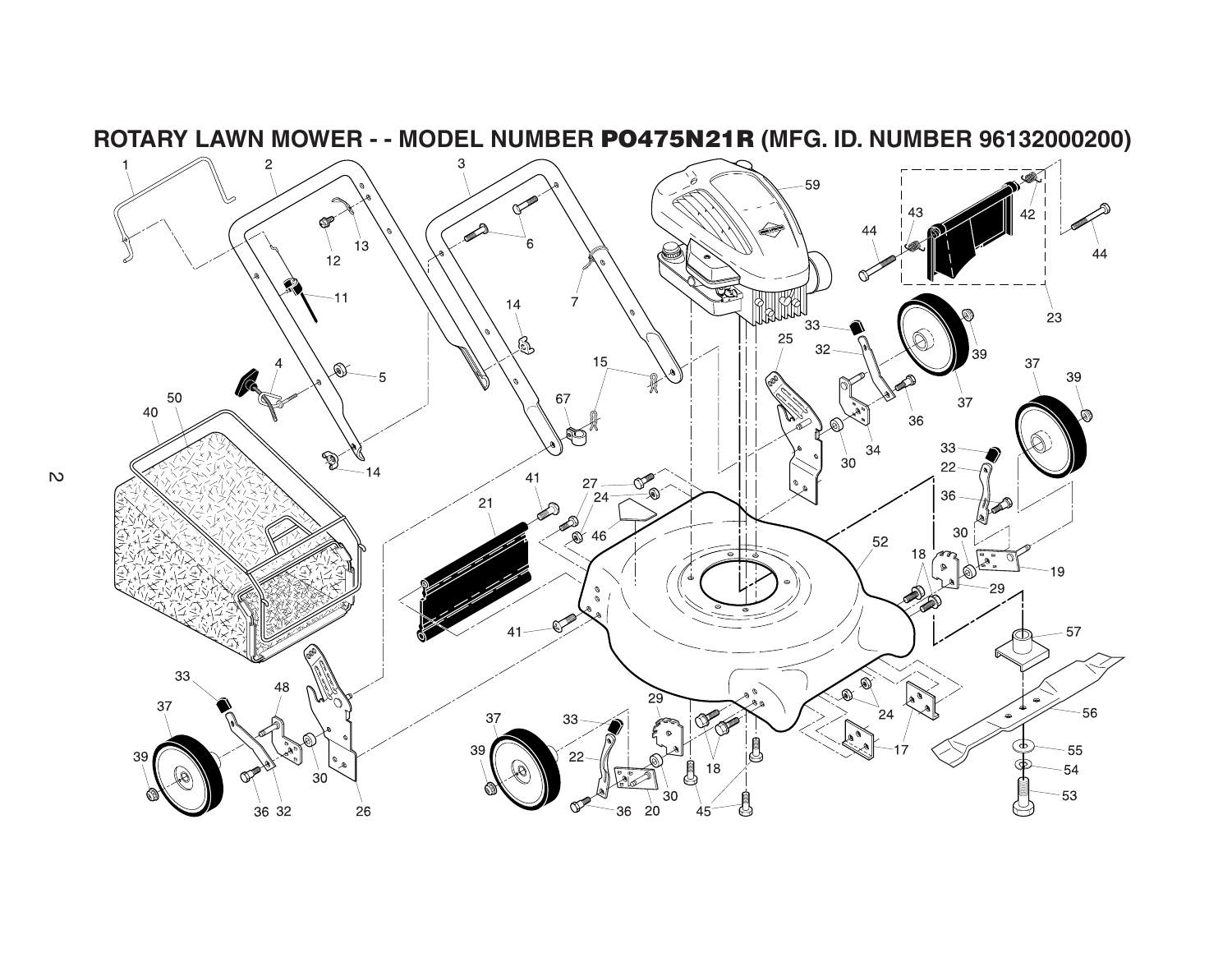

**ROTARY LAWN MOWER - - MODEL NUMBER PO475N21R (MFG. ID. NUMBER 96132000200)**